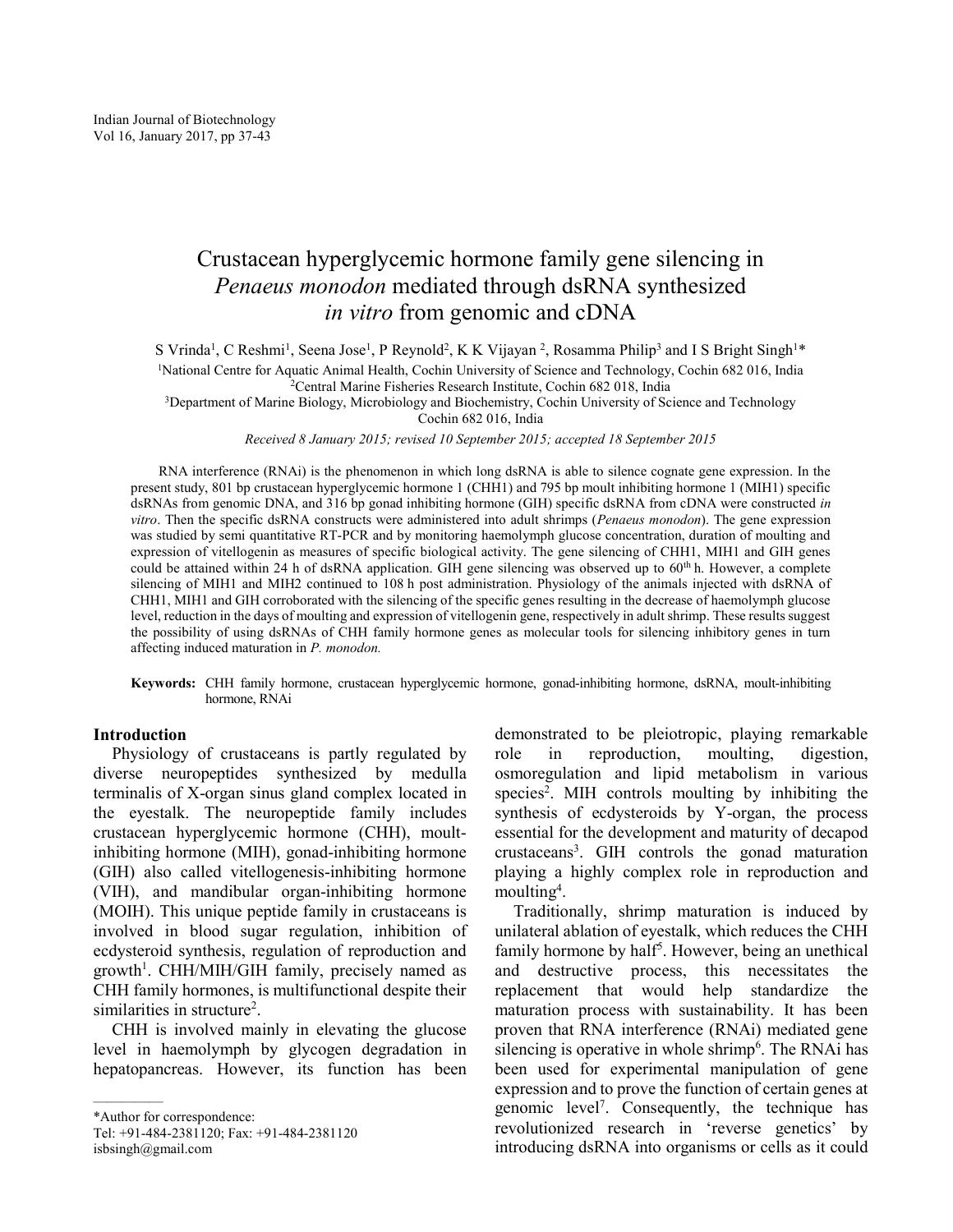# Crustacean hyperglycemic hormone family gene silencing in Penaeus monodon mediated through dsRNA synthesized in vitro from genomic and cDNA

S Vrinda<sup>1</sup>, C Reshmi<sup>1</sup>, Seena Jose<sup>1</sup>, P Reynold<sup>2</sup>, K K Vijayan<sup>2</sup>, Rosamma Philip<sup>3</sup> and I S Bright Singh<sup>1\*</sup> <sup>1</sup>National Centre for Aquatic Animal Health, Cochin University of Science and Technology, Cochin 682 016, India <sup>2</sup>Central Marine Fisheries Research Institute, Cochin 682 018, India

<sup>3</sup>Department of Marine Biology, Microbiology and Biochemistry, Cochin University of Science and Technology Cochin 682 016, India

Received 8 January 2015; revised 10 September 2015; accepted 18 September 2015

RNA interference (RNAi) is the phenomenon in which long dsRNA is able to silence cognate gene expression. In the present study, 801 bp crustacean hyperglycemic hormone 1 (CHH1) and 795 bp moult inhibiting hormone 1 (MIH1) specific dsRNAs from genomic DNA, and 316 bp gonad inhibiting hormone (GIH) specific dsRNA from cDNA were constructed in vitro. Then the specific dsRNA constructs were administered into adult shrimps (Penaeus monodon). The gene expression was studied by semi quantitative RT-PCR and by monitoring haemolymph glucose concentration, duration of moulting and expression of vitellogenin as measures of specific biological activity. The gene silencing of CHH1, MIH1 and GIH genes could be attained within 24 h of dsRNA application. GIH gene silencing was observed up to 60<sup>th</sup> h. However, a complete silencing of MIH1 and MIH2 continued to 108 h post administration. Physiology of the animals injected with dsRNA of CHH1, MIH1 and GIH corroborated with the silencing of the specific genes resulting in the decrease of haemolymph glucose level, reduction in the days of moulting and expression of vitellogenin gene, respectively in adult shrimp. These results suggest the possibility of using dsRNAs of CHH family hormone genes as molecular tools for silencing inhibitory genes in turn affecting induced maturation in P. monodon.

Keywords: CHH family hormone, crustacean hyperglycemic hormone, gonad-inhibiting hormone, dsRNA, moult-inhibiting hormone, RNAi

# Introduction

Physiology of crustaceans is partly regulated by diverse neuropeptides synthesized by medulla terminalis of X-organ sinus gland complex located in the eyestalk. The neuropeptide family includes crustacean hyperglycemic hormone (CHH), moultinhibiting hormone (MIH), gonad-inhibiting hormone (GIH) also called vitellogenesis-inhibiting hormone (VIH), and mandibular organ-inhibiting hormone (MOIH). This unique peptide family in crustaceans is involved in blood sugar regulation, inhibition of ecdysteroid synthesis, regulation of reproduction and growth<sup>1</sup>. CHH/MIH/GIH family, precisely named as CHH family hormones, is multifunctional despite their similarities in structure<sup>2</sup>.

CHH is involved mainly in elevating the glucose level in haemolymph by glycogen degradation in hepatopancreas. However, its function has been

—————

demonstrated to be pleiotropic, playing remarkable role in reproduction, moulting, digestion, osmoregulation and lipid metabolism in various species<sup>2</sup>. MIH controls moulting by inhibiting the synthesis of ecdysteroids by Y-organ, the process essential for the development and maturity of decapod crustaceans<sup>3</sup> . GIH controls the gonad maturation playing a highly complex role in reproduction and moulting<sup>4</sup>.

Traditionally, shrimp maturation is induced by unilateral ablation of eyestalk, which reduces the CHH family hormone by half<sup>5</sup>. However, being an unethical and destructive process, this necessitates the replacement that would help standardize the maturation process with sustainability. It has been proven that RNA interference (RNAi) mediated gene silencing is operative in whole shrimp<sup>6</sup>. The RNAi has been used for experimental manipulation of gene expression and to prove the function of certain genes at genomic level<sup>7</sup> . Consequently, the technique has revolutionized research in 'reverse genetics' by introducing dsRNA into organisms or cells as it could

<sup>\*</sup>Author for correspondence:

Tel: +91-484-2381120; Fax: +91-484-2381120 isbsingh@gmail.com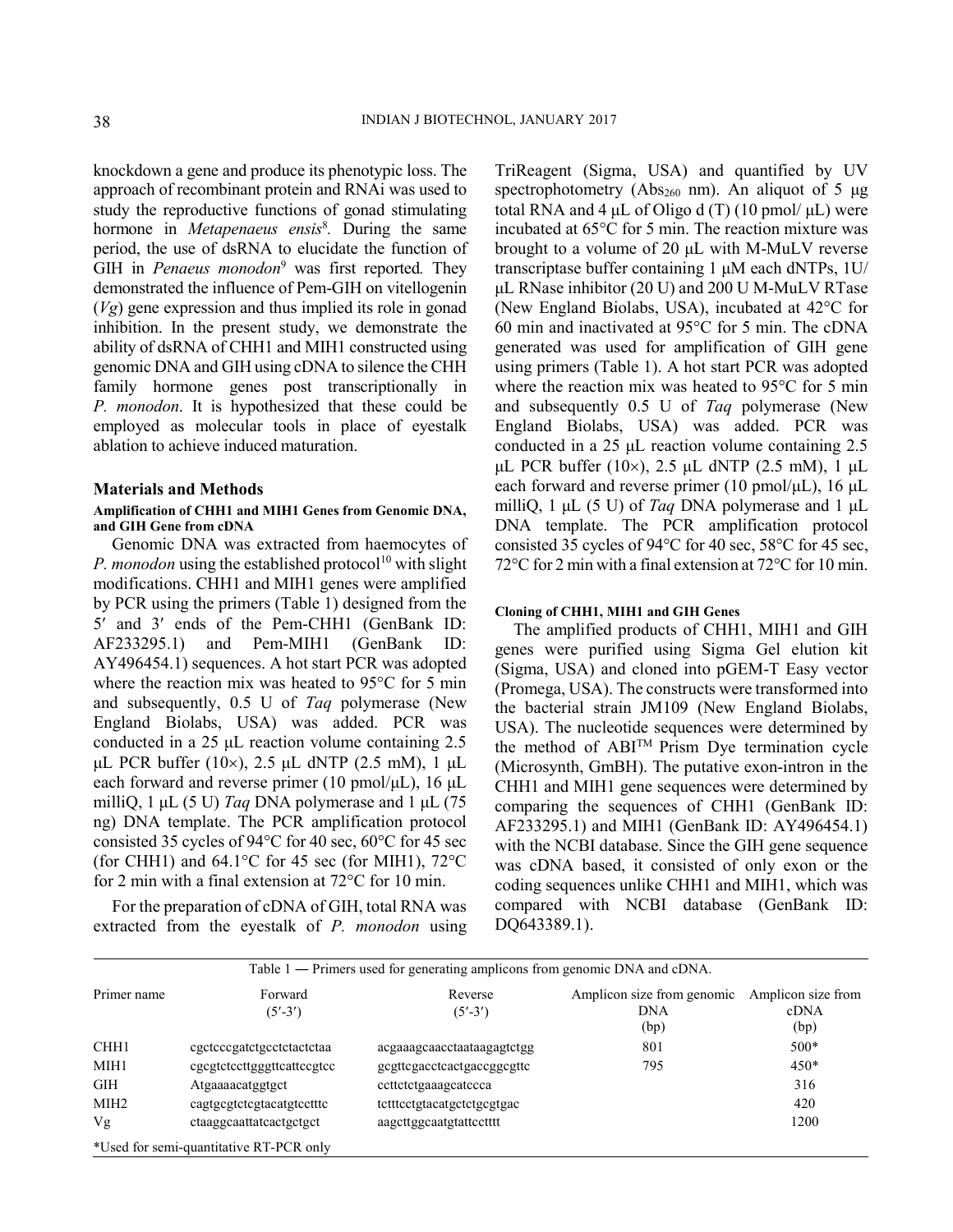knockdown a gene and produce its phenotypic loss. The approach of recombinant protein and RNAi was used to study the reproductive functions of gonad stimulating hormone in *Metapenaeus ensis<sup>8</sup>*. During the same period, the use of dsRNA to elucidate the function of GIH in *Penaeus monodon*<sup>9</sup> was first reported. They demonstrated the influence of Pem-GIH on vitellogenin (Vg) gene expression and thus implied its role in gonad inhibition. In the present study, we demonstrate the ability of dsRNA of CHH1 and MIH1 constructed using genomic DNA and GIH using cDNA to silence the CHH family hormone genes post transcriptionally in P. monodon. It is hypothesized that these could be employed as molecular tools in place of eyestalk ablation to achieve induced maturation.

### Materials and Methods

### Amplification of CHH1 and MIH1 Genes from Genomic DNA, and GIH Gene from cDNA

Genomic DNA was extracted from haemocytes of P. monodon using the established protocol<sup>10</sup> with slight modifications. CHH1 and MIH1 genes were amplified by PCR using the primers (Table 1) designed from the 5' and 3' ends of the Pem-CHH1 (GenBank ID: AF233295.1) and Pem-MIH1 (GenBank ID: AY496454.1) sequences. A hot start PCR was adopted where the reaction mix was heated to 95°C for 5 min and subsequently, 0.5 U of Taq polymerase (New England Biolabs, USA) was added. PCR was conducted in a 25 μL reaction volume containing 2.5 μL PCR buffer (10×), 2.5 μL dNTP (2.5 mM), 1 μL each forward and reverse primer (10 pmol/μL), 16 μL milliQ, 1  $\mu$ L (5 U) Taq DNA polymerase and 1  $\mu$ L (75 ng) DNA template. The PCR amplification protocol consisted 35 cycles of 94°C for 40 sec, 60°C for 45 sec (for CHH1) and  $64.1^{\circ}$ C for 45 sec (for MIH1),  $72^{\circ}$ C for 2 min with a final extension at 72°C for 10 min.

For the preparation of cDNA of GIH, total RNA was extracted from the eyestalk of P. monodon using TriReagent (Sigma, USA) and quantified by UV spectrophotometry (Abs<sub>260</sub> nm). An aliquot of 5  $\mu$ g total RNA and 4 μL of Oligo d (T) (10 pmol/ μL) were incubated at 65°C for 5 min. The reaction mixture was brought to a volume of 20 μL with M-MuLV reverse transcriptase buffer containing 1 μM each dNTPs, 1U/ μL RNase inhibitor (20 U) and 200 U M-MuLV RTase (New England Biolabs, USA), incubated at 42°C for 60 min and inactivated at 95°C for 5 min. The cDNA generated was used for amplification of GIH gene using primers (Table 1). A hot start PCR was adopted where the reaction mix was heated to 95°C for 5 min and subsequently 0.5 U of Taq polymerase (New England Biolabs, USA) was added. PCR was conducted in a 25 μL reaction volume containing 2.5 μL PCR buffer (10×), 2.5 μL dNTP (2.5 mM), 1 μL each forward and reverse primer (10 pmol/ $\mu$ L), 16  $\mu$ L milliQ, 1  $\mu$ L (5 U) of *Taq* DNA polymerase and 1  $\mu$ L DNA template. The PCR amplification protocol consisted 35 cycles of 94°C for 40 sec, 58°C for 45 sec, 72°C for 2 min with a final extension at 72°C for 10 min.

### Cloning of CHH1, MIH1 and GIH Genes

The amplified products of CHH1, MIH1 and GIH genes were purified using Sigma Gel elution kit (Sigma, USA) and cloned into pGEM-T Easy vector (Promega, USA). The constructs were transformed into the bacterial strain JM109 (New England Biolabs, USA). The nucleotide sequences were determined by the method of ABITM Prism Dye termination cycle (Microsynth, GmBH). The putative exon-intron in the CHH1 and MIH1 gene sequences were determined by comparing the sequences of CHH1 (GenBank ID: AF233295.1) and MIH1 (GenBank ID: AY496454.1) with the NCBI database. Since the GIH gene sequence was cDNA based, it consisted of only exon or the coding sequences unlike CHH1 and MIH1, which was compared with NCBI database (GenBank ID: DQ643389.1).

| Table 1 — Primers used for generating amplicons from genomic DNA and cDNA. |                                                                                                          |                                                                                                                |                                                  |                                    |
|----------------------------------------------------------------------------|----------------------------------------------------------------------------------------------------------|----------------------------------------------------------------------------------------------------------------|--------------------------------------------------|------------------------------------|
| Primer name                                                                | Forward<br>$(5' - 3')$                                                                                   | Reverse<br>$(5' - 3')$                                                                                         | Amplicon size from genomic<br><b>DNA</b><br>(bp) | Amplicon size from<br>cDNA<br>(bp) |
| CHH <sub>1</sub><br>MIH1<br><b>GIH</b><br>MIH <sub>2</sub>                 | cgctcccgatctgcctctactctaa<br>egegteteettgggtteatteegtee<br>Atgaaaacatggtgct<br>cagtgcgtctcgtacatgtcctttc | acgaaagcaacctaataagagtctgg<br>gcgttcgacctcactgaccggcgttc<br>ccttctctgaaagcatccca<br>tettteetgtacatgetetgegtgac | 801<br>795                                       | $500*$<br>$450*$<br>316<br>420     |
| Vg                                                                         | ctaaggcaattatcactgctgct<br>*Used for semi-quantitative RT-PCR only                                       | aagettggcaatgtattcctttt                                                                                        |                                                  | 1200                               |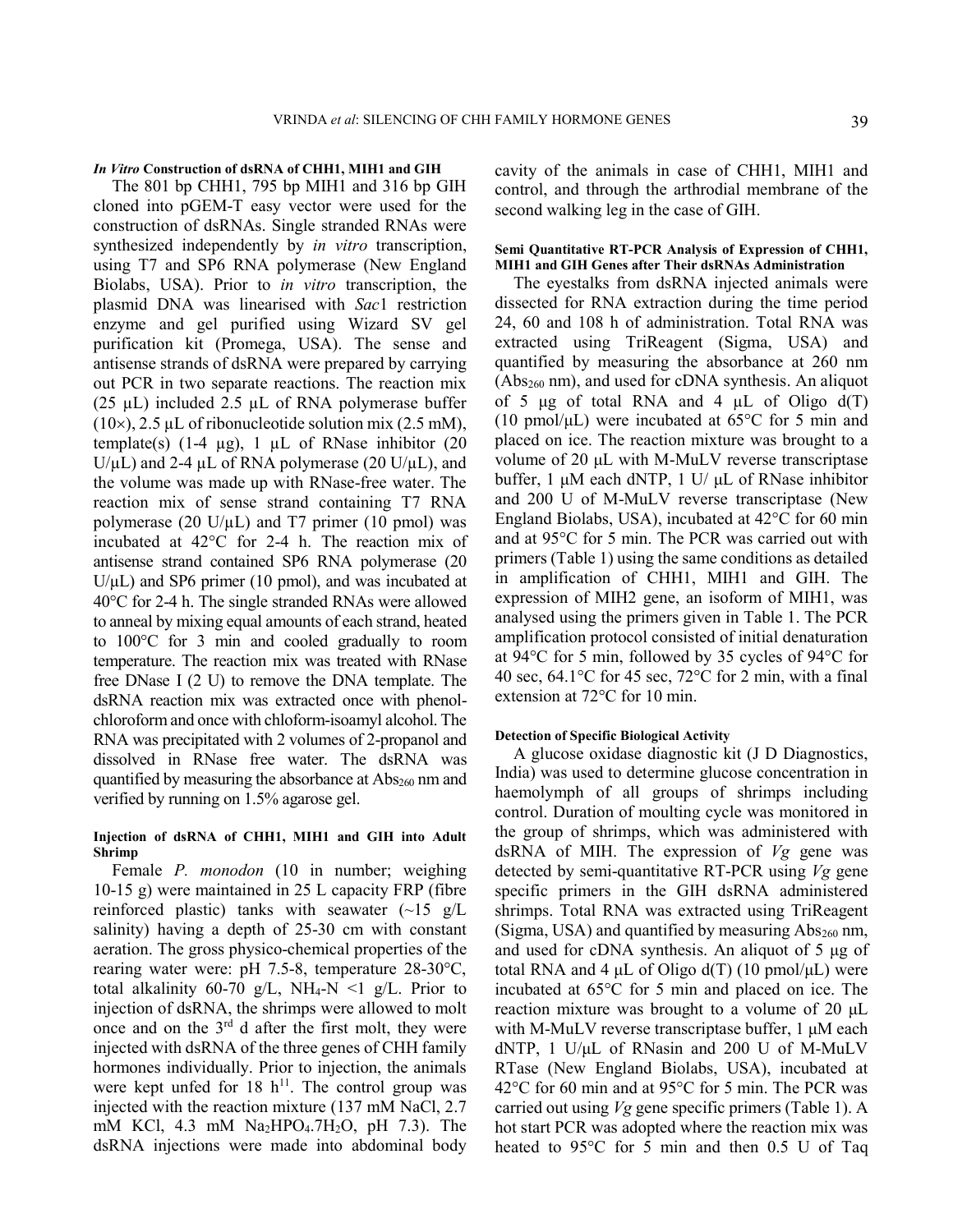### In Vitro Construction of dsRNA of CHH1, MIH1 and GIH

The 801 bp CHH1, 795 bp MIH1 and 316 bp GIH cloned into pGEM-T easy vector were used for the construction of dsRNAs. Single stranded RNAs were synthesized independently by *in vitro* transcription, using T7 and SP6 RNA polymerase (New England Biolabs, USA). Prior to in vitro transcription, the plasmid DNA was linearised with Sac1 restriction enzyme and gel purified using Wizard SV gel purification kit (Promega, USA). The sense and antisense strands of dsRNA were prepared by carrying out PCR in two separate reactions. The reaction mix (25  $\mu$ L) included 2.5  $\mu$ L of RNA polymerase buffer  $(10\times)$ , 2.5 µL of ribonucleotide solution mix (2.5 mM), template(s)  $(1-4 \mu g)$ , 1  $\mu L$  of RNase inhibitor  $(20$  $U/\mu L$ ) and 2-4  $\mu L$  of RNA polymerase (20 U/ $\mu L$ ), and the volume was made up with RNase-free water. The reaction mix of sense strand containing T7 RNA polymerase (20 U/ $\mu$ L) and T7 primer (10 pmol) was incubated at 42°C for 2-4 h. The reaction mix of antisense strand contained SP6 RNA polymerase (20  $U/\mu L$ ) and SP6 primer (10 pmol), and was incubated at  $40^{\circ}$ C for 2-4 h. The single stranded RNAs were allowed to anneal by mixing equal amounts of each strand, heated to 100°C for 3 min and cooled gradually to room temperature. The reaction mix was treated with RNase free DNase I (2 U) to remove the DNA template. The dsRNA reaction mix was extracted once with phenolchloroform and once with chloform-isoamyl alcohol. The RNA was precipitated with 2 volumes of 2-propanol and dissolved in RNase free water. The dsRNA was quantified by measuring the absorbance at  $\text{Abs}_{260}$  nm and verified by running on 1.5% agarose gel.

### Injection of dsRNA of CHH1, MIH1 and GIH into Adult Shrimp

Female P. monodon (10 in number; weighing 10-15 g) were maintained in 25 L capacity FRP (fibre reinforced plastic) tanks with seawater  $(-15 \text{ g/L})$ salinity) having a depth of 25-30 cm with constant aeration. The gross physico-chemical properties of the rearing water were: pH 7.5-8, temperature 28-30°C, total alkalinity 60-70 g/L, NH<sub>4</sub>-N <1 g/L. Prior to injection of dsRNA, the shrimps were allowed to molt once and on the 3rd d after the first molt, they were injected with dsRNA of the three genes of CHH family hormones individually. Prior to injection, the animals were kept unfed for 18  $h^{11}$ . The control group was injected with the reaction mixture (137 mM NaCl, 2.7 mM KCl, 4.3 mM  $Na<sub>2</sub>HPO<sub>4</sub>·7H<sub>2</sub>O$ , pH 7.3). The dsRNA injections were made into abdominal body cavity of the animals in case of CHH1, MIH1 and control, and through the arthrodial membrane of the second walking leg in the case of GIH.

### Semi Quantitative RT-PCR Analysis of Expression of CHH1, MIH1 and GIH Genes after Their dsRNAs Administration

The eyestalks from dsRNA injected animals were dissected for RNA extraction during the time period 24, 60 and 108 h of administration. Total RNA was extracted using TriReagent (Sigma, USA) and quantified by measuring the absorbance at 260 nm  $(Abs<sub>260</sub> nm)$ , and used for cDNA synthesis. An aliquot of 5  $\mu$ g of total RNA and 4  $\mu$ L of Oligo d(T) (10 pmol/ $\mu$ L) were incubated at 65 $\degree$ C for 5 min and placed on ice. The reaction mixture was brought to a volume of 20 μL with M-MuLV reverse transcriptase buffer, 1 μM each dNTP, 1 U/ μL of RNase inhibitor and 200 U of M-MuLV reverse transcriptase (New England Biolabs, USA), incubated at 42°C for 60 min and at 95°C for 5 min. The PCR was carried out with primers (Table 1) using the same conditions as detailed in amplification of CHH1, MIH1 and GIH. The expression of MIH2 gene, an isoform of MIH1, was analysed using the primers given in Table 1. The PCR amplification protocol consisted of initial denaturation at 94°C for 5 min, followed by 35 cycles of 94°C for 40 sec, 64.1 $\degree$ C for 45 sec, 72 $\degree$ C for 2 min, with a final extension at 72°C for 10 min.

### Detection of Specific Biological Activity

A glucose oxidase diagnostic kit (J D Diagnostics, India) was used to determine glucose concentration in haemolymph of all groups of shrimps including control. Duration of moulting cycle was monitored in the group of shrimps, which was administered with dsRNA of MIH. The expression of  $Vg$  gene was detected by semi-quantitative RT-PCR using  $Vg$  gene specific primers in the GIH dsRNA administered shrimps. Total RNA was extracted using TriReagent (Sigma, USA) and quantified by measuring  $Abs<sub>260</sub>$  nm, and used for cDNA synthesis. An aliquot of 5 μg of total RNA and 4  $\mu$ L of Oligo d(T) (10 pmol/ $\mu$ L) were incubated at 65°C for 5 min and placed on ice. The reaction mixture was brought to a volume of 20 μL with M-MuLV reverse transcriptase buffer, 1 μM each dNTP, 1 U/μL of RNasin and 200 U of M-MuLV RTase (New England Biolabs, USA), incubated at 42°C for 60 min and at 95°C for 5 min. The PCR was carried out using  $Vg$  gene specific primers (Table 1). A hot start PCR was adopted where the reaction mix was heated to 95°C for 5 min and then 0.5 U of Taq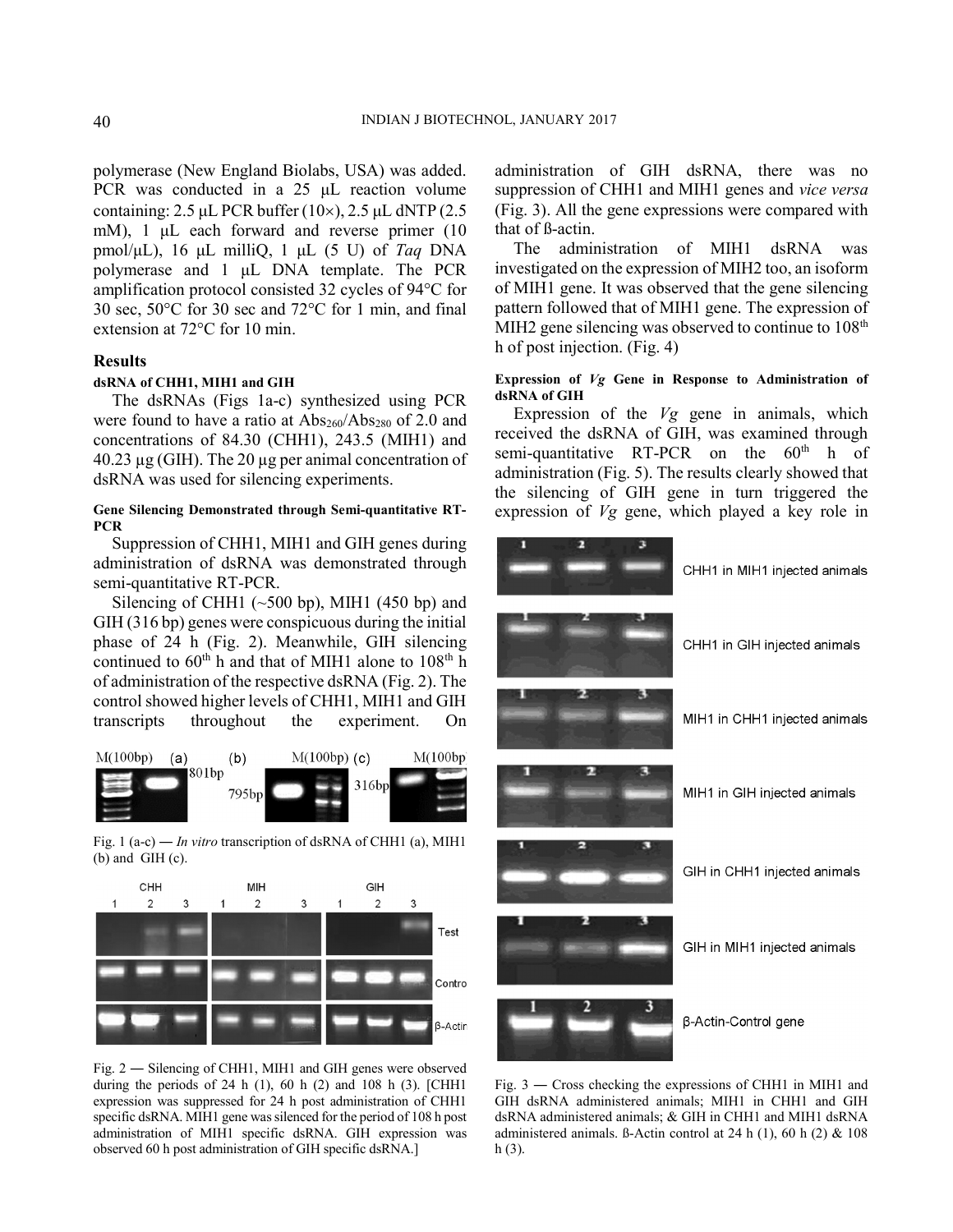polymerase (New England Biolabs, USA) was added. PCR was conducted in a 25 μL reaction volume containing:  $2.5 \mu L$  PCR buffer (10 $\times$ ),  $2.5 \mu L$  dNTP (2.5) mM), 1 μL each forward and reverse primer (10 pmol/μL), 16 μL milliQ, 1 μL (5 U) of Taq DNA polymerase and 1 μL DNA template. The PCR amplification protocol consisted 32 cycles of 94°C for 30 sec, 50°C for 30 sec and 72°C for 1 min, and final extension at 72°C for 10 min.

# Results

#### dsRNA of CHH1, MIH1 and GIH

The dsRNAs (Figs 1a-c) synthesized using PCR were found to have a ratio at  $\text{Abs}_{260}/\text{Abs}_{280}$  of 2.0 and concentrations of 84.30 (CHH1), 243.5 (MIH1) and  $40.23 \mu$ g (GIH). The 20  $\mu$ g per animal concentration of dsRNA was used for silencing experiments.

## Gene Silencing Demonstrated through Semi-quantitative RT-**PCR**

Suppression of CHH1, MIH1 and GIH genes during administration of dsRNA was demonstrated through semi-quantitative RT-PCR.

Silencing of CHH1 ( $\sim$ 500 bp), MIH1 (450 bp) and GIH (316 bp) genes were conspicuous during the initial phase of 24 h (Fig. 2). Meanwhile, GIH silencing continued to  $60<sup>th</sup>$  h and that of MIH1 alone to  $108<sup>th</sup>$  h of administration of the respective dsRNA (Fig. 2). The control showed higher levels of CHH1, MIH1 and GIH transcripts throughout the experiment. On



Fig. 1 (a-c) ― In vitro transcription of dsRNA of CHH1 (a), MIH1 (b) and GIH (c).



Fig. 2 ― Silencing of CHH1, MIH1 and GIH genes were observed during the periods of 24 h  $(1)$ , 60 h  $(2)$  and 108 h  $(3)$ . [CHH1] expression was suppressed for 24 h post administration of CHH1 specific dsRNA. MIH1 gene was silenced for the period of 108 h post administration of MIH1 specific dsRNA. GIH expression was observed 60 h post administration of GIH specific dsRNA.]

administration of GIH dsRNA, there was no suppression of CHH1 and MIH1 genes and vice versa (Fig. 3). All the gene expressions were compared with that of ß-actin.

The administration of MIH1 dsRNA was investigated on the expression of MIH2 too, an isoform of MIH1 gene. It was observed that the gene silencing pattern followed that of MIH1 gene. The expression of MIH2 gene silencing was observed to continue to  $108<sup>th</sup>$ h of post injection. (Fig. 4)

### Expression of Vg Gene in Response to Administration of dsRNA of GIH

Expression of the  $Vg$  gene in animals, which received the dsRNA of GIH, was examined through semi-quantitative RT-PCR on the  $60<sup>th</sup>$  h of administration (Fig. 5). The results clearly showed that the silencing of GIH gene in turn triggered the expression of Vg gene, which played a key role in



Fig. 3 ― Cross checking the expressions of CHH1 in MIH1 and GIH dsRNA administered animals; MIH1 in CHH1 and GIH dsRNA administered animals; & GIH in CHH1 and MIH1 dsRNA administered animals. ß-Actin control at 24 h (1), 60 h (2) & 108  $h(3)$ .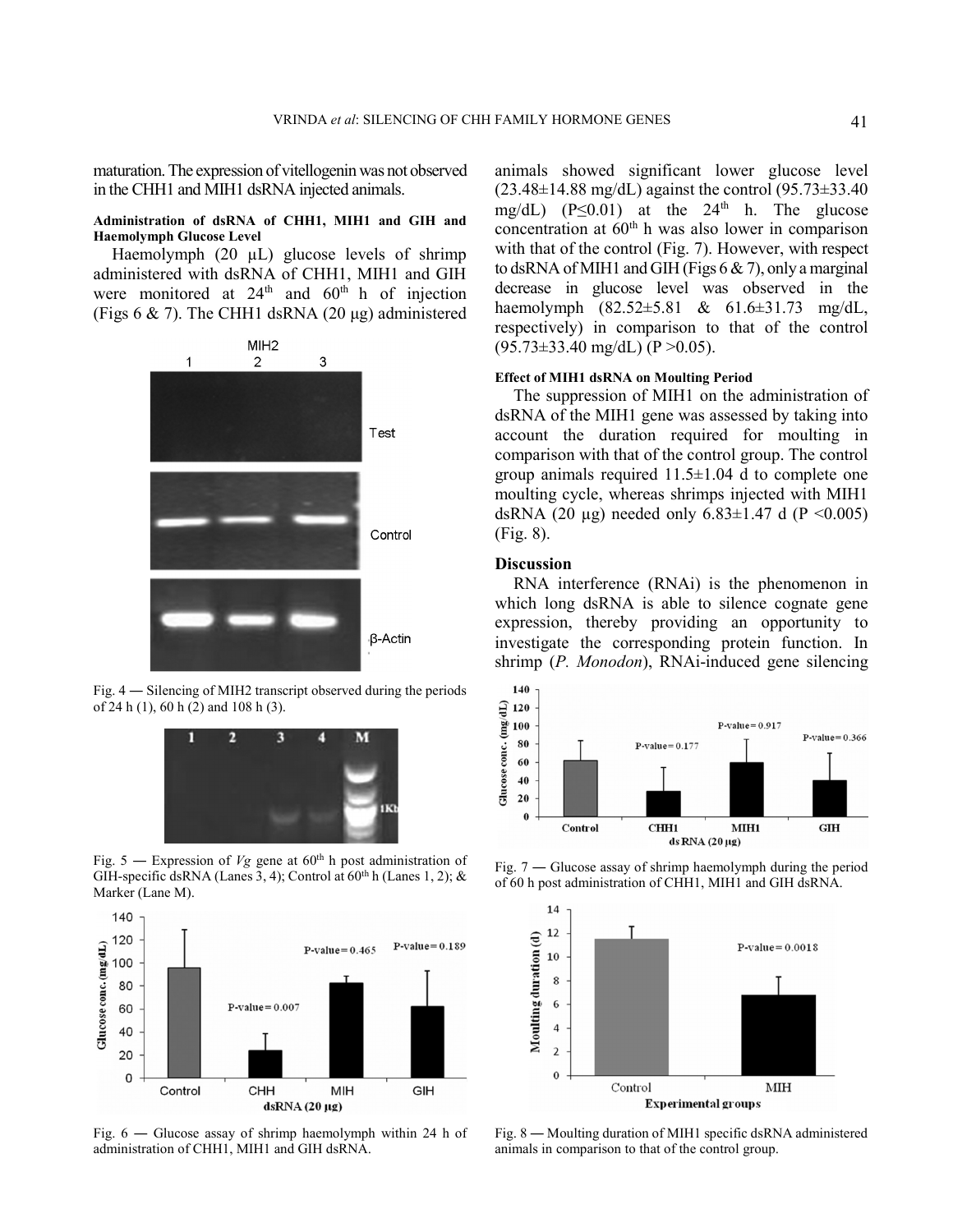maturation. The expression of vitellogenin was not observed in the CHH1 and MIH1 dsRNA injected animals.

### Administration of dsRNA of CHH1, MIH1 and GIH and Haemolymph Glucose Level

Haemolymph (20 µL) glucose levels of shrimp administered with dsRNA of CHH1, MIH1 and GIH were monitored at  $24<sup>th</sup>$  and  $60<sup>th</sup>$  h of injection (Figs  $6 \& 7$ ). The CHH1 dsRNA (20 µg) administered



Fig. 4 ― Silencing of MIH2 transcript observed during the periods of 24 h (1), 60 h (2) and 108 h (3).



Fig. 5 — Expression of  $Vg$  gene at 60<sup>th</sup> h post administration of GIH-specific dsRNA (Lanes 3, 4); Control at  $60^{th}$  h (Lanes 1, 2); & Marker (Lane M).



Fig. 6 ― Glucose assay of shrimp haemolymph within 24 h of administration of CHH1, MIH1 and GIH dsRNA.

animals showed significant lower glucose level  $(23.48\pm14.88 \text{ mg/dL})$  against the control  $(95.73\pm33.40$ mg/dL)  $(P \le 0.01)$  at the 24<sup>th</sup> h. The glucose concentration at  $60<sup>th</sup>$  h was also lower in comparison with that of the control (Fig. 7). However, with respect to dsRNA of MIH1 and GIH (Figs  $6 \& 7$ ), only a marginal decrease in glucose level was observed in the haemolymph (82.52±5.81 & 61.6±31.73 mg/dL, respectively) in comparison to that of the control  $(95.73\pm33.40 \text{ mg/dL})$  (P > 0.05).

### Effect of MIH1 dsRNA on Moulting Period

The suppression of MIH1 on the administration of dsRNA of the MIH1 gene was assessed by taking into account the duration required for moulting in comparison with that of the control group. The control group animals required  $11.5\pm1.04$  d to complete one moulting cycle, whereas shrimps injected with MIH1 dsRNA (20  $\mu$ g) needed only 6.83±1.47 d (P < 0.005) (Fig. 8).

## **Discussion**

RNA interference (RNAi) is the phenomenon in which long dsRNA is able to silence cognate gene expression, thereby providing an opportunity to investigate the corresponding protein function. In shrimp (P. Monodon), RNAi-induced gene silencing



Fig. 7 ― Glucose assay of shrimp haemolymph during the period of 60 h post administration of CHH1, MIH1 and GIH dsRNA.



Fig. 8 ― Moulting duration of MIH1 specific dsRNA administered animals in comparison to that of the control group.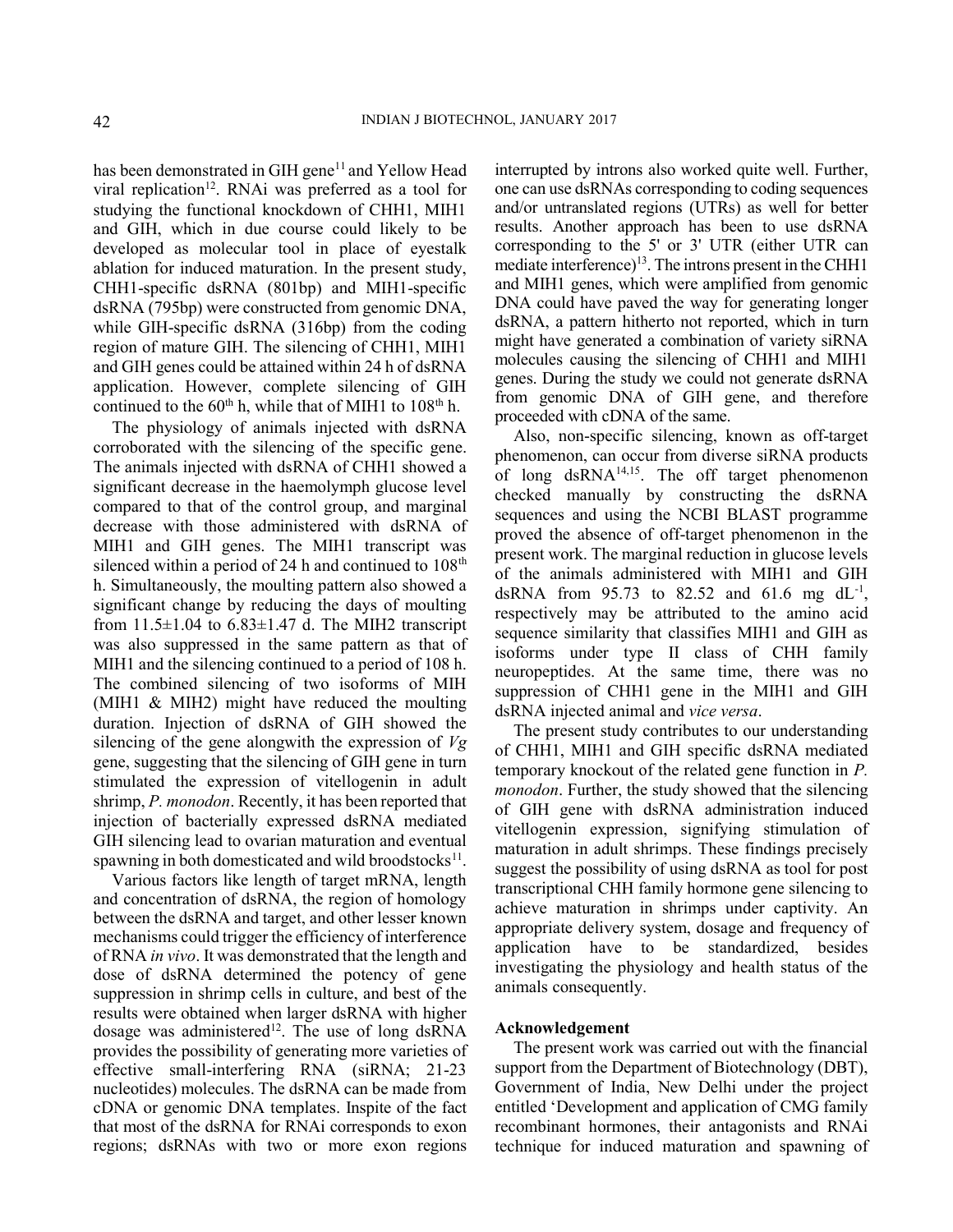has been demonstrated in GIH gene<sup>11</sup> and Yellow Head viral replication<sup>12</sup>. RNAi was preferred as a tool for studying the functional knockdown of CHH1, MIH1 and GIH, which in due course could likely to be developed as molecular tool in place of eyestalk ablation for induced maturation. In the present study, CHH1-specific dsRNA (801bp) and MIH1-specific dsRNA (795bp) were constructed from genomic DNA, while GIH-specific dsRNA (316bp) from the coding region of mature GIH. The silencing of CHH1, MIH1 and GIH genes could be attained within 24 h of dsRNA application. However, complete silencing of GIH continued to the 60<sup>th</sup> h, while that of MIH1 to 108<sup>th</sup> h.

The physiology of animals injected with dsRNA corroborated with the silencing of the specific gene. The animals injected with dsRNA of CHH1 showed a significant decrease in the haemolymph glucose level compared to that of the control group, and marginal decrease with those administered with dsRNA of MIH1 and GIH genes. The MIH1 transcript was silenced within a period of 24 h and continued to  $108<sup>th</sup>$ h. Simultaneously, the moulting pattern also showed a significant change by reducing the days of moulting from  $11.5\pm1.04$  to  $6.83\pm1.47$  d. The MIH2 transcript was also suppressed in the same pattern as that of MIH1 and the silencing continued to a period of 108 h. The combined silencing of two isoforms of MIH (MIH1 & MIH2) might have reduced the moulting duration. Injection of dsRNA of GIH showed the silencing of the gene alongwith the expression of  $Vg$ gene, suggesting that the silencing of GIH gene in turn stimulated the expression of vitellogenin in adult shrimp, *P. monodon*. Recently, it has been reported that injection of bacterially expressed dsRNA mediated GIH silencing lead to ovarian maturation and eventual spawning in both domesticated and wild broodstocks<sup>11</sup>.

Various factors like length of target mRNA, length and concentration of dsRNA, the region of homology between the dsRNA and target, and other lesser known mechanisms could trigger the efficiency of interference of RNA in vivo. It was demonstrated that the length and dose of dsRNA determined the potency of gene suppression in shrimp cells in culture, and best of the results were obtained when larger dsRNA with higher dosage was administered<sup>12</sup>. The use of long dsRNA provides the possibility of generating more varieties of effective small-interfering RNA (siRNA; 21-23 nucleotides) molecules. The dsRNA can be made from cDNA or genomic DNA templates. Inspite of the fact that most of the dsRNA for RNAi corresponds to exon regions; dsRNAs with two or more exon regions

interrupted by introns also worked quite well. Further, one can use dsRNAs corresponding to coding sequences and/or untranslated regions (UTRs) as well for better results. Another approach has been to use dsRNA corresponding to the 5' or 3' UTR (either UTR can mediate interference)<sup>13</sup>. The introns present in the CHH1 and MIH1 genes, which were amplified from genomic DNA could have paved the way for generating longer dsRNA, a pattern hitherto not reported, which in turn might have generated a combination of variety siRNA molecules causing the silencing of CHH1 and MIH1 genes. During the study we could not generate dsRNA from genomic DNA of GIH gene, and therefore proceeded with cDNA of the same.

Also, non-specific silencing, known as off-target phenomenon, can occur from diverse siRNA products of long dsRNA<sup>14,15</sup>. The off target phenomenon checked manually by constructing the dsRNA sequences and using the NCBI BLAST programme proved the absence of off-target phenomenon in the present work. The marginal reduction in glucose levels of the animals administered with MIH1 and GIH dsRNA from 95.73 to 82.52 and 61.6 mg  $dL^{-1}$ , respectively may be attributed to the amino acid sequence similarity that classifies MIH1 and GIH as isoforms under type II class of CHH family neuropeptides. At the same time, there was no suppression of CHH1 gene in the MIH1 and GIH dsRNA injected animal and vice versa.

The present study contributes to our understanding of CHH1, MIH1 and GIH specific dsRNA mediated temporary knockout of the related gene function in P. monodon. Further, the study showed that the silencing of GIH gene with dsRNA administration induced vitellogenin expression, signifying stimulation of maturation in adult shrimps. These findings precisely suggest the possibility of using dsRNA as tool for post transcriptional CHH family hormone gene silencing to achieve maturation in shrimps under captivity. An appropriate delivery system, dosage and frequency of application have to be standardized, besides investigating the physiology and health status of the animals consequently.

### Acknowledgement

The present work was carried out with the financial support from the Department of Biotechnology (DBT), Government of India, New Delhi under the project entitled 'Development and application of CMG family recombinant hormones, their antagonists and RNAi technique for induced maturation and spawning of